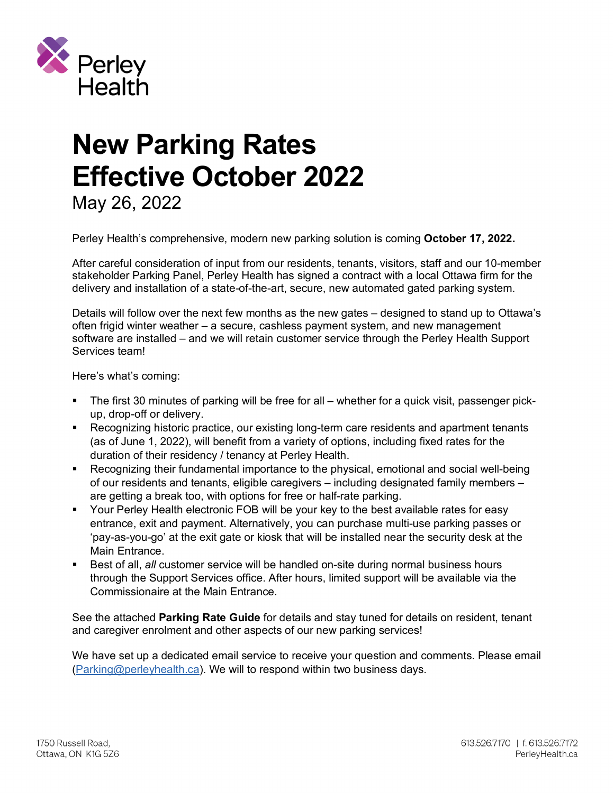

# **New Parking Rates Effective October 2022**

May 26, 2022

Perley Health's comprehensive, modern new parking solution is coming **October 17, 2022.**

After careful consideration of input from our residents, tenants, visitors, staff and our 10-member stakeholder Parking Panel, Perley Health has signed a contract with a local Ottawa firm for the delivery and installation of a state-of-the-art, secure, new automated gated parking system.

Details will follow over the next few months as the new gates – designed to stand up to Ottawa's often frigid winter weather – a secure, cashless payment system, and new management software are installed – and we will retain customer service through the Perley Health Support Services team!

Here's what's coming:

- The first 30 minutes of parking will be free for all whether for a quick visit, passenger pickup, drop-off or delivery.
- Recognizing historic practice, our existing long-term care residents and apartment tenants (as of June 1, 2022), will benefit from a variety of options, including fixed rates for the duration of their residency / tenancy at Perley Health.
- Recognizing their fundamental importance to the physical, emotional and social well-being of our residents and tenants, eligible caregivers – including designated family members – are getting a break too, with options for free or half-rate parking.
- § Your Perley Health electronic FOB will be your key to the best available rates for easy entrance, exit and payment. Alternatively, you can purchase multi-use parking passes or 'pay-as-you-go' at the exit gate or kiosk that will be installed near the security desk at the Main Entrance.
- Best of all, *all* customer service will be handled on-site during normal business hours through the Support Services office. After hours, limited support will be available via the Commissionaire at the Main Entrance.

See the attached **Parking Rate Guide** for details and stay tuned for details on resident, tenant and caregiver enrolment and other aspects of our new parking services!

We have set up a dedicated email service to receive your question and comments. Please email (Parking@perleyhealth.ca). We will to respond within two business days.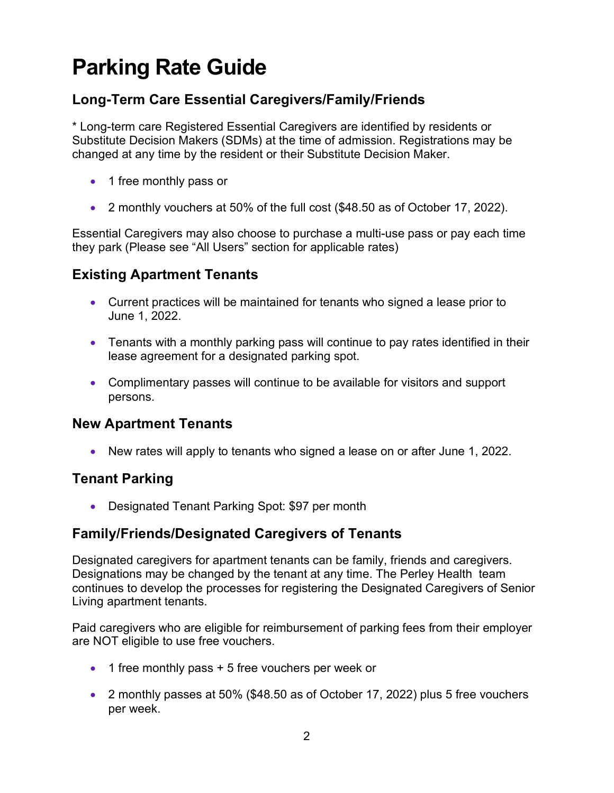# **Parking Rate Guide**

# **Long-Term Care Essential Caregivers/Family/Friends**

\* Long-term care Registered Essential Caregivers are identified by residents or Substitute Decision Makers (SDMs) at the time of admission. Registrations may be changed at any time by the resident or their Substitute Decision Maker.

- 1 free monthly pass or
- 2 monthly vouchers at 50% of the full cost (\$48.50 as of October 17, 2022).

Essential Caregivers may also choose to purchase a multi-use pass or pay each time they park (Please see "All Users" section for applicable rates)

# **Existing Apartment Tenants**

- Current practices will be maintained for tenants who signed a lease prior to June 1, 2022.
- Tenants with a monthly parking pass will continue to pay rates identified in their lease agreement for a designated parking spot.
- Complimentary passes will continue to be available for visitors and support persons.

# **New Apartment Tenants**

• New rates will apply to tenants who signed a lease on or after June 1, 2022.

# **Tenant Parking**

• Designated Tenant Parking Spot: \$97 per month

# **Family/Friends/Designated Caregivers of Tenants**

Designated caregivers for apartment tenants can be family, friends and caregivers. Designations may be changed by the tenant at any time. The Perley Health team continues to develop the processes for registering the Designated Caregivers of Senior Living apartment tenants.

Paid caregivers who are eligible for reimbursement of parking fees from their employer are NOT eligible to use free vouchers.

- 1 free monthly pass + 5 free vouchers per week or
- 2 monthly passes at 50% (\$48.50 as of October 17, 2022) plus 5 free vouchers per week.